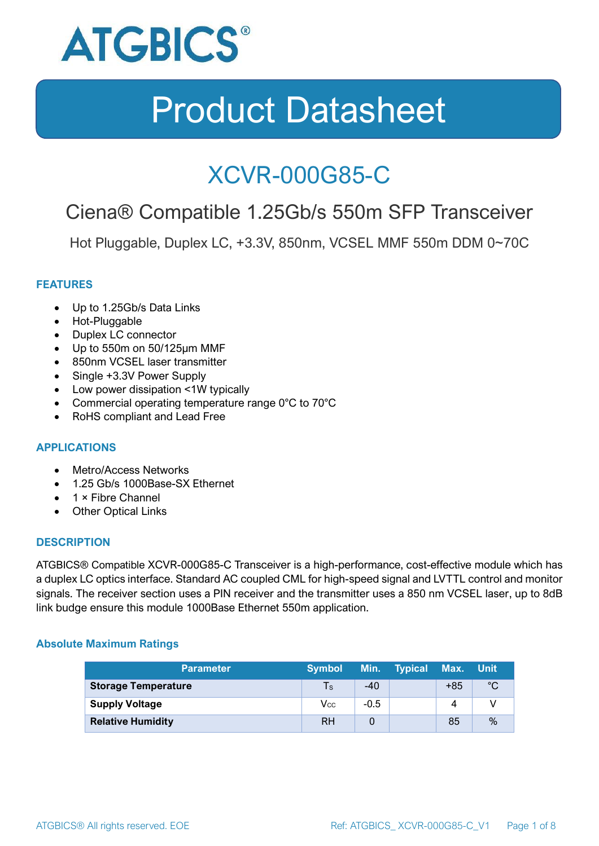

### XCVR-000G85-C

### Ciena® Compatible 1.25Gb/s 550m SFP Transceiver

Hot Pluggable, Duplex LC, +3.3V, 850nm, VCSEL MMF 550m DDM 0~70C

#### **FEATURES**

- Up to 1.25Gb/s Data Links
- Hot-Pluggable
- Duplex LC connector
- Up to 550m on 50/125μm MMF
- 850nm VCSEL laser transmitter
- Single +3.3V Power Supply
- Low power dissipation <1W typically
- Commercial operating temperature range 0°C to 70°C
- RoHS compliant and Lead Free

#### **APPLICATIONS**

- Metro/Access Networks
- 1.25 Gb/s 1000Base-SX Ethernet
- 1 × Fibre Channel
- Other Optical Links

#### **DESCRIPTION**

ATGBICS® Compatible XCVR-000G85-C Transceiver is a high-performance, cost-effective module which has a duplex LC optics interface. Standard AC coupled CML for high-speed signal and LVTTL control and monitor signals. The receiver section uses a PIN receiver and the transmitter uses a 850 nm VCSEL laser, up to 8dB link budge ensure this module 1000Base Ethernet 550m application.

#### **Absolute Maximum Ratings**

| <b>Parameter</b>           | <b>Symbol</b> |        | Min. Typical | Max. Unit |      |
|----------------------------|---------------|--------|--------------|-----------|------|
| <b>Storage Temperature</b> | $\mathsf{Ts}$ | $-40$  |              | $+85$     | °C   |
| <b>Supply Voltage</b>      | Vcc           | $-0.5$ |              | 4         |      |
| <b>Relative Humidity</b>   | <b>RH</b>     |        |              | 85        | $\%$ |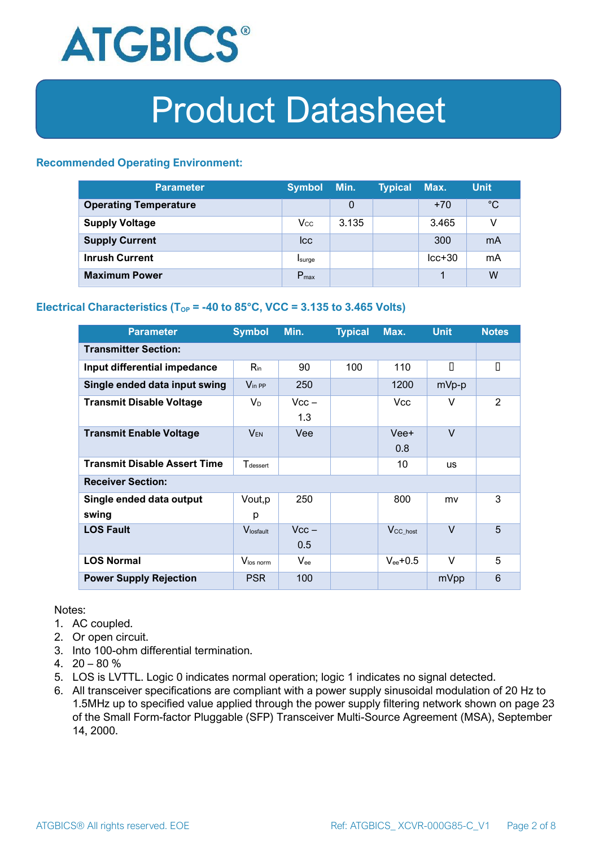

#### **Recommended Operating Environment:**

| <b>Parameter</b>             | <b>Symbol</b>    | Min.  | <b>Typical</b> | Max.     | <b>Unit</b> |
|------------------------------|------------------|-------|----------------|----------|-------------|
| <b>Operating Temperature</b> |                  | 0     |                | $+70$    | $^{\circ}C$ |
| <b>Supply Voltage</b>        | $V_{\rm CC}$     | 3.135 |                | 3.465    | v           |
| <b>Supply Current</b>        | <b>Icc</b>       |       |                | 300      | mA          |
| <b>Inrush Current</b>        | Isurge           |       |                | $lcc+30$ | mA          |
| <b>Maximum Power</b>         | $P_{\text{max}}$ |       |                |          | W           |

#### **Electrical Characteristics** ( $T_{OP}$  = -40 to 85°C, VCC = 3.135 to 3.465 Volts)

| <b>Parameter</b>                    | <b>Symbol</b>         | Min.           | <b>Typical</b> | Max.                 | <b>Unit</b> | <b>Notes</b> |  |
|-------------------------------------|-----------------------|----------------|----------------|----------------------|-------------|--------------|--|
| <b>Transmitter Section:</b>         |                       |                |                |                      |             |              |  |
| Input differential impedance        | $R_{\rm in}$          | 90             | 100            | 110                  | П           | П            |  |
| Single ended data input swing       | $V_{\text{in PP}}$    | 250            |                | 1200                 | mVp-p       |              |  |
| <b>Transmit Disable Voltage</b>     | $V_D$                 | $Vcc -$<br>1.3 |                | Vcc.                 | V           | 2            |  |
| <b>Transmit Enable Voltage</b>      | <b>VEN</b>            | Vee            |                | Vee+<br>0.8          | $\vee$      |              |  |
| <b>Transmit Disable Assert Time</b> | $T_{\rm dessert}$     |                |                | 10                   | <b>us</b>   |              |  |
| <b>Receiver Section:</b>            |                       |                |                |                      |             |              |  |
| Single ended data output<br>swing   | Vout, p<br>р          | 250            |                | 800                  | mv          | 3            |  |
| <b>LOS Fault</b>                    | $V_{\text{losfault}}$ | $Vcc -$<br>0.5 |                | V <sub>CC_host</sub> | $\vee$      | 5            |  |
| <b>LOS Normal</b>                   | Vlos norm             | $V_{ee}$       |                | $V_{ee}$ +0.5        | $\vee$      | 5            |  |
| <b>Power Supply Rejection</b>       | <b>PSR</b>            | 100            |                |                      | mVpp        | 6            |  |

Notes:

- 1. AC coupled.
- 2. Or open circuit.
- 3. Into 100-ohm differential termination.
- 4.  $20 80 \%$
- 5. LOS is LVTTL. Logic 0 indicates normal operation; logic 1 indicates no signal detected.
- 6. All transceiver specifications are compliant with a power supply sinusoidal modulation of 20 Hz to 1.5MHz up to specified value applied through the power supply filtering network shown on page 23 of the Small Form-factor Pluggable (SFP) Transceiver Multi-Source Agreement (MSA), September 14, 2000.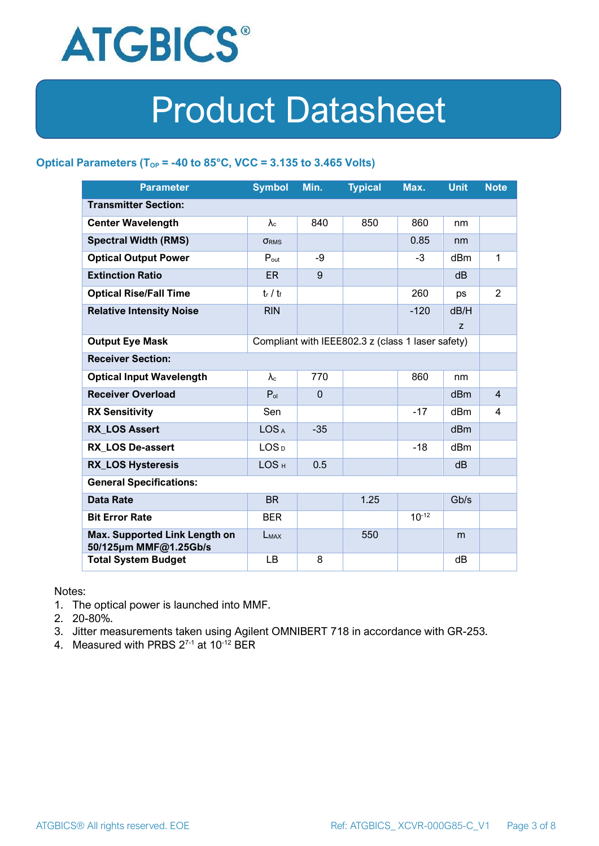

#### **Optical Parameters** ( $T_{OP}$  = -40 to 85°C, VCC = 3.135 to 3.465 Volts)

| <b>Parameter</b>                                                            | <b>Symbol</b>     | Min.         | <b>Typical</b> | Max.       | <b>Unit</b>     | <b>Note</b>    |
|-----------------------------------------------------------------------------|-------------------|--------------|----------------|------------|-----------------|----------------|
| <b>Transmitter Section:</b>                                                 |                   |              |                |            |                 |                |
| <b>Center Wavelength</b>                                                    | $\lambda_c$       | 840          | 850            | 860        | nm              |                |
| <b>Spectral Width (RMS)</b>                                                 | <b>ORMS</b>       |              |                | 0.85       | nm              |                |
| <b>Optical Output Power</b>                                                 | $P_{\text{out}}$  | -9           |                | $-3$       | dBm             | 1              |
| <b>Extinction Ratio</b>                                                     | <b>ER</b>         | 9            |                |            | dB              |                |
| <b>Optical Rise/Fall Time</b>                                               | $t_r / t_f$       |              |                | 260        | ps              | $\overline{2}$ |
| <b>Relative Intensity Noise</b>                                             | <b>RIN</b>        |              |                | $-120$     | dB/H            |                |
|                                                                             |                   |              |                |            | Z               |                |
| <b>Output Eye Mask</b><br>Compliant with IEEE802.3 z (class 1 laser safety) |                   |              |                |            |                 |                |
| <b>Receiver Section:</b>                                                    |                   |              |                |            |                 |                |
| <b>Optical Input Wavelength</b>                                             | $\lambda_{\rm c}$ | 770          |                | 860        | nm              |                |
| <b>Receiver Overload</b>                                                    | $P_{ol}$          | $\mathbf{0}$ |                |            | dBm             | $\overline{4}$ |
| <b>RX Sensitivity</b>                                                       | Sen               |              |                | $-17$      | dBm             | 4              |
| <b>RX LOS Assert</b>                                                        | LOS <sub>A</sub>  | $-35$        |                |            | d <sub>Bm</sub> |                |
| <b>RX LOS De-assert</b>                                                     | LOS <sub>D</sub>  |              |                | -18        | dB <sub>m</sub> |                |
| <b>RX_LOS Hysteresis</b>                                                    | LOS <sub>H</sub>  | 0.5          |                |            | d <sub>B</sub>  |                |
| <b>General Specifications:</b>                                              |                   |              |                |            |                 |                |
| <b>Data Rate</b>                                                            | <b>BR</b>         |              | 1.25           |            | Gb/s            |                |
| <b>Bit Error Rate</b>                                                       | <b>BER</b>        |              |                | $10^{-12}$ |                 |                |
| Max. Supported Link Length on<br>50/125µm MMF@1.25Gb/s                      | LMAX              |              | 550            |            | m               |                |
| <b>Total System Budget</b>                                                  | LB                | 8            |                |            | dB              |                |

Notes:

- 1. The optical power is launched into MMF.
- 2. 20-80%.
- 3. Jitter measurements taken using Agilent OMNIBERT 718 in accordance with GR-253.
- 4. Measured with PRBS  $2^{7-1}$  at 10<sup>-12</sup> BER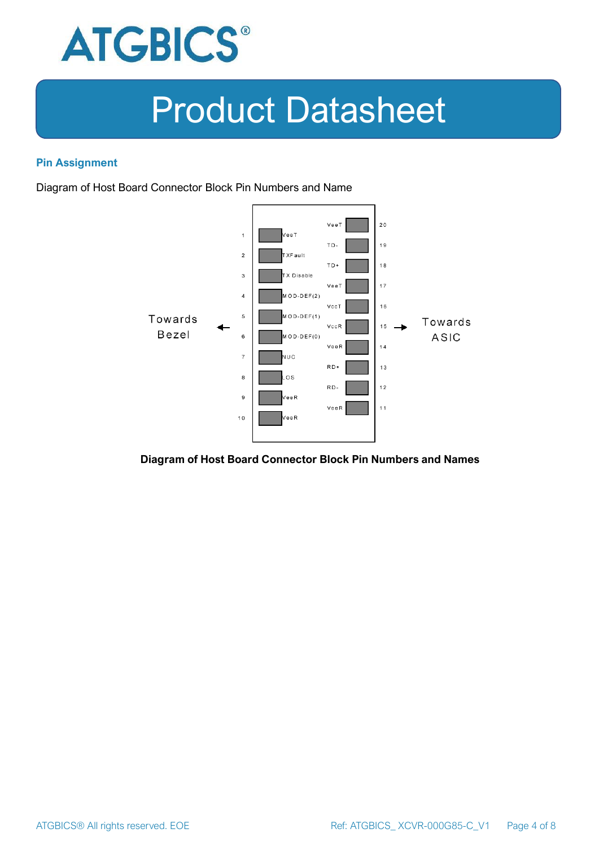

#### **Pin Assignment**

Diagram of Host Board Connector Block Pin Numbers and Name



#### **Diagram of Host Board Connector Block Pin Numbers and Names**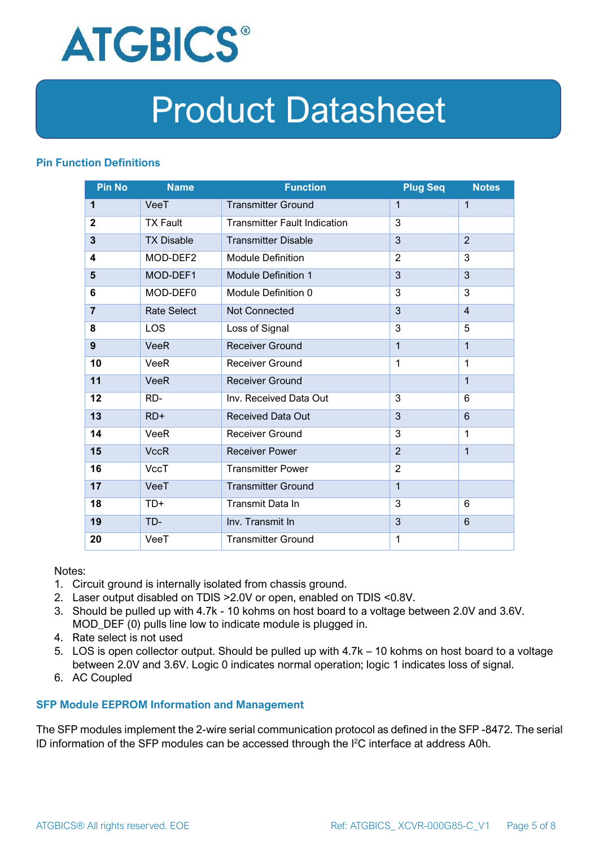

#### **Pin Function Definitions**

| <b>Pin No</b>  | <b>Name</b>        | <b>Function</b>                     | <b>Plug Seq</b> | <b>Notes</b>   |
|----------------|--------------------|-------------------------------------|-----------------|----------------|
| 1              | VeeT               | <b>Transmitter Ground</b>           | 1               | $\mathbf 1$    |
| $\mathbf 2$    | <b>TX Fault</b>    | <b>Transmitter Fault Indication</b> | 3               |                |
| 3              | <b>TX Disable</b>  | <b>Transmitter Disable</b>          | 3               | $\overline{2}$ |
| 4              | MOD-DEF2           | <b>Module Definition</b>            | $\overline{2}$  | 3              |
| 5              | MOD-DEF1           | <b>Module Definition 1</b>          | 3               | 3              |
| 6              | MOD-DEF0           | Module Definition 0                 | 3               | 3              |
| $\overline{7}$ | <b>Rate Select</b> | Not Connected                       | 3               | $\overline{4}$ |
| 8              | LOS                | Loss of Signal                      | 3               | 5              |
| 9              | <b>VeeR</b>        | <b>Receiver Ground</b>              | $\mathbf 1$     | $\mathbf{1}$   |
| 10             | VeeR               | Receiver Ground                     | $\mathbf{1}$    | $\mathbf 1$    |
| 11             | <b>VeeR</b>        | <b>Receiver Ground</b>              |                 | $\mathbf{1}$   |
| 12             | RD-                | Inv. Received Data Out              | 3               | 6              |
| 13             | $RD+$              | <b>Received Data Out</b>            | 3               | 6              |
| 14             | VeeR               | <b>Receiver Ground</b>              | 3               | 1              |
| 15             | <b>VccR</b>        | <b>Receiver Power</b>               | $\overline{2}$  | $\mathbf{1}$   |
| 16             | <b>VccT</b>        | <b>Transmitter Power</b>            | $\overline{2}$  |                |
| 17             | VeeT               | <b>Transmitter Ground</b>           | $\mathbf{1}$    |                |
| 18             | TD+                | Transmit Data In                    | 3               | 6              |
| 19             | TD-                | Inv. Transmit In                    | 3               | 6              |
| 20             | VeeT               | <b>Transmitter Ground</b>           | 1               |                |

Notes:

- 1. Circuit ground is internally isolated from chassis ground.
- 2. Laser output disabled on TDIS >2.0V or open, enabled on TDIS <0.8V.
- 3. Should be pulled up with 4.7k 10 kohms on host board to a voltage between 2.0V and 3.6V. MOD\_DEF (0) pulls line low to indicate module is plugged in.
- 4. Rate select is not used
- 5. LOS is open collector output. Should be pulled up with 4.7k 10 kohms on host board to a voltage between 2.0V and 3.6V. Logic 0 indicates normal operation; logic 1 indicates loss of signal.
- 6. AC Coupled

#### **SFP Module EEPROM Information and Management**

The SFP modules implement the 2-wire serial communication protocol as defined in the SFP -8472. The serial ID information of the SFP modules can be accessed through the I2C interface at address A0h.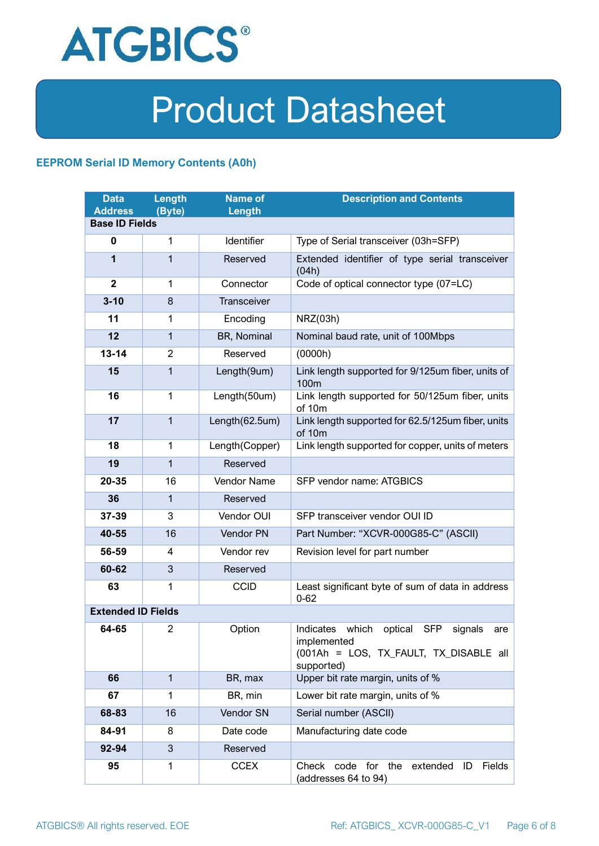

#### **EEPROM Serial ID Memory Contents (A0h)**

| <b>Data</b><br><b>Address</b> | <b>Length</b><br>(Byte) | <b>Name of</b><br>Length | <b>Description and Contents</b>                                                                                         |  |  |
|-------------------------------|-------------------------|--------------------------|-------------------------------------------------------------------------------------------------------------------------|--|--|
| <b>Base ID Fields</b>         |                         |                          |                                                                                                                         |  |  |
| $\mathbf 0$                   | $\mathbf{1}$            | Identifier               | Type of Serial transceiver (03h=SFP)                                                                                    |  |  |
| 1                             | 1                       | Reserved                 | Extended identifier of type serial transceiver<br>(04h)                                                                 |  |  |
| $\overline{2}$                | $\mathbf{1}$            | Connector                | Code of optical connector type (07=LC)                                                                                  |  |  |
| $3 - 10$                      | 8                       | Transceiver              |                                                                                                                         |  |  |
| 11                            | 1                       | Encoding                 | NRZ(03h)                                                                                                                |  |  |
| 12                            | $\mathbf{1}$            | BR, Nominal              | Nominal baud rate, unit of 100Mbps                                                                                      |  |  |
| $13 - 14$                     | $\overline{2}$          | Reserved                 | (0000h)                                                                                                                 |  |  |
| 15                            | $\mathbf{1}$            | Length(9um)              | Link length supported for 9/125um fiber, units of<br>100 <sub>m</sub>                                                   |  |  |
| 16                            | $\mathbf{1}$            | Length(50um)             | Link length supported for 50/125um fiber, units<br>of 10m                                                               |  |  |
| 17                            | $\mathbf{1}$            | Length(62.5um)           | Link length supported for 62.5/125um fiber, units<br>of 10m                                                             |  |  |
| 18                            | $\mathbf{1}$            | Length(Copper)           | Link length supported for copper, units of meters                                                                       |  |  |
| 19                            | 1                       | Reserved                 |                                                                                                                         |  |  |
| 20-35                         | 16                      | Vendor Name              | SFP vendor name: ATGBICS                                                                                                |  |  |
| 36                            | 1                       | Reserved                 |                                                                                                                         |  |  |
| 37-39                         | 3                       | Vendor OUI               | SFP transceiver vendor OUI ID                                                                                           |  |  |
| 40-55                         | 16                      | Vendor PN                | Part Number: "XCVR-000G85-C" (ASCII)                                                                                    |  |  |
| 56-59                         | 4                       | Vendor rev               | Revision level for part number                                                                                          |  |  |
| 60-62                         | 3                       | Reserved                 |                                                                                                                         |  |  |
| 63                            | 1                       | <b>CCID</b>              | Least significant byte of sum of data in address<br>$0 - 62$                                                            |  |  |
| <b>Extended ID Fields</b>     |                         |                          |                                                                                                                         |  |  |
| 64-65                         | 2                       | Option                   | Indicates which<br>optical SFP<br>signals<br>are<br>implemented<br>(001Ah = LOS, TX_FAULT, TX_DISABLE all<br>supported) |  |  |
| 66                            | $\mathbf{1}$            | BR, max                  | Upper bit rate margin, units of %                                                                                       |  |  |
| 67                            | $\mathbf{1}$            | BR, min                  | Lower bit rate margin, units of %                                                                                       |  |  |
| 68-83                         | 16                      | Vendor SN                | Serial number (ASCII)                                                                                                   |  |  |
| 84-91                         | 8                       | Date code                | Manufacturing date code                                                                                                 |  |  |
| 92-94                         | 3                       | Reserved                 |                                                                                                                         |  |  |
| 95                            | 1                       | <b>CCEX</b>              | Check<br>code for the<br>Fields<br>extended<br>ID<br>(addresses 64 to 94)                                               |  |  |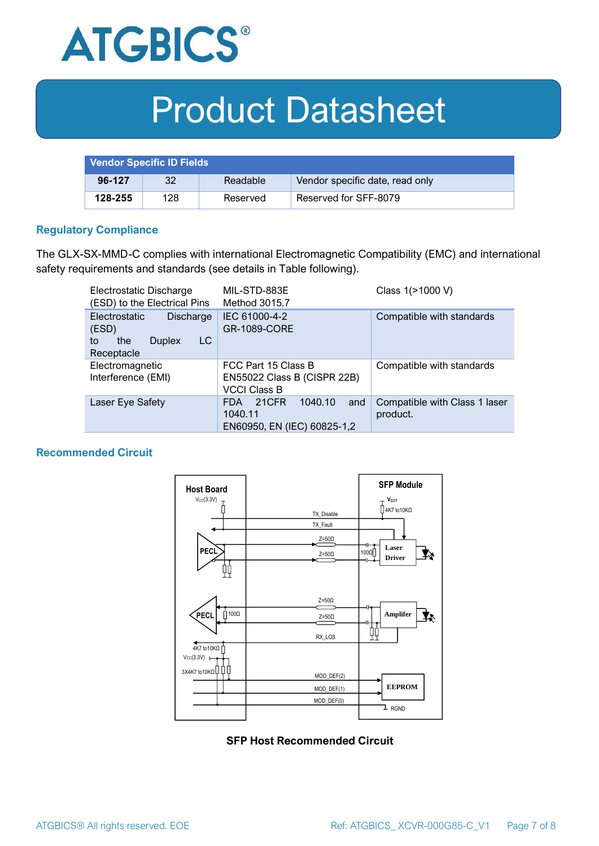

| <b>Vendor Specific ID Fields</b> |     |          |                                 |
|----------------------------------|-----|----------|---------------------------------|
| 96-127                           | 32  | Readable | Vendor specific date, read only |
| 128-255                          | 128 | Reserved | Reserved for SFF-8079           |

#### **Regulatory Compliance**

The GLX-SX-MMD-C complies with international Electromagnetic Compatibility (EMC) and international safety requirements and standards (see details in Table following).

| Electrostatic Discharge<br>(ESD) to the Electrical Pins                                      | MIL-STD-883E<br>Method 3015.7                                                   | Class 1(>1000 V)                          |  |
|----------------------------------------------------------------------------------------------|---------------------------------------------------------------------------------|-------------------------------------------|--|
| <b>Electrostatic</b><br>Discharge<br>(ESD)<br>LC<br>the<br><b>Duplex</b><br>to<br>Receptacle | IEC 61000-4-2<br><b>GR-1089-CORE</b>                                            | Compatible with standards                 |  |
| Electromagnetic<br>Interference (EMI)                                                        | FCC Part 15 Class B<br>EN55022 Class B (CISPR 22B)<br><b>VCCI Class B</b>       | Compatible with standards                 |  |
| Laser Eye Safety                                                                             | 1040.10<br>21CFR<br>and<br><b>FDA</b><br>1040.11<br>EN60950, EN (IEC) 60825-1,2 | Compatible with Class 1 laser<br>product. |  |

#### **Recommended Circuit**



#### **SFP Host Recommended Circuit**